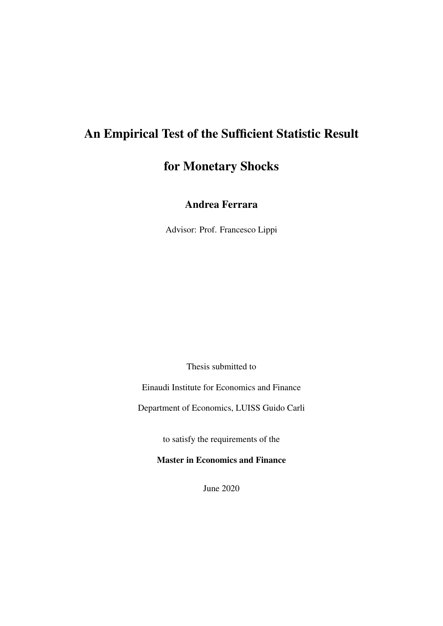# An Empirical Test of the Sufficient Statistic Result

# for Monetary Shocks

# Andrea Ferrara

Advisor: Prof. Francesco Lippi

Thesis submitted to

Einaudi Institute for Economics and Finance

Department of Economics, LUISS Guido Carli

to satisfy the requirements of the

Master in Economics and Finance

June 2020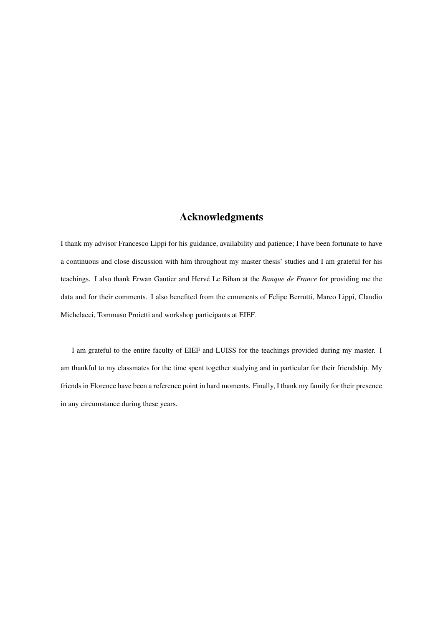# Acknowledgments

I thank my advisor Francesco Lippi for his guidance, availability and patience; I have been fortunate to have a continuous and close discussion with him throughout my master thesis' studies and I am grateful for his teachings. I also thank Erwan Gautier and Hervé Le Bihan at the *Banque de France* for providing me the data and for their comments. I also benefited from the comments of Felipe Berrutti, Marco Lippi, Claudio Michelacci, Tommaso Proietti and workshop participants at EIEF.

I am grateful to the entire faculty of EIEF and LUISS for the teachings provided during my master. I am thankful to my classmates for the time spent together studying and in particular for their friendship. My friends in Florence have been a reference point in hard moments. Finally, I thank my family for their presence in any circumstance during these years.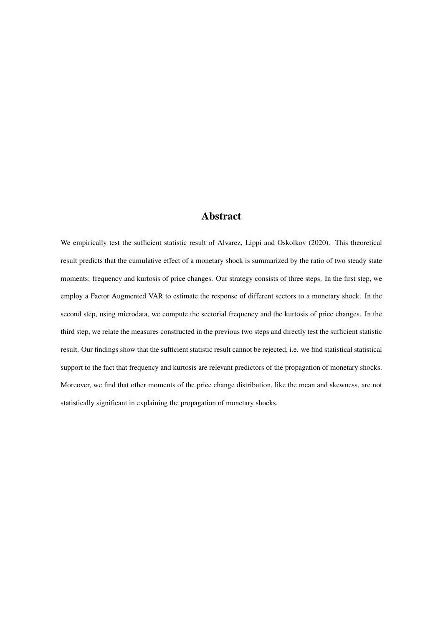# Abstract

We empirically test the sufficient statistic result of Alvarez, Lippi and Oskolkov (2020). This theoretical result predicts that the cumulative effect of a monetary shock is summarized by the ratio of two steady state moments: frequency and kurtosis of price changes. Our strategy consists of three steps. In the first step, we employ a Factor Augmented VAR to estimate the response of different sectors to a monetary shock. In the second step, using microdata, we compute the sectorial frequency and the kurtosis of price changes. In the third step, we relate the measures constructed in the previous two steps and directly test the sufficient statistic result. Our findings show that the sufficient statistic result cannot be rejected, i.e. we find statistical statistical support to the fact that frequency and kurtosis are relevant predictors of the propagation of monetary shocks. Moreover, we find that other moments of the price change distribution, like the mean and skewness, are not statistically significant in explaining the propagation of monetary shocks.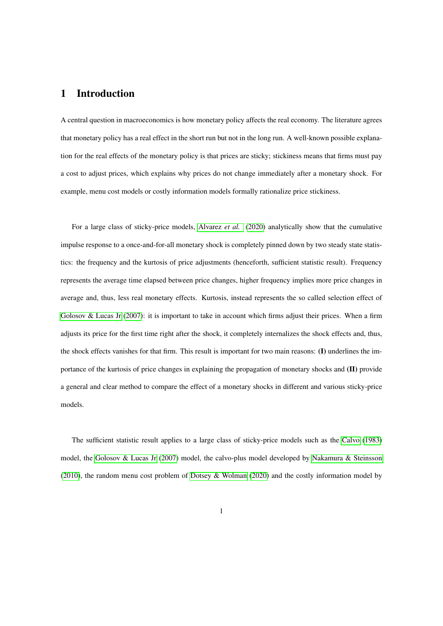### 1 Introduction

A central question in macroeconomics is how monetary policy affects the real economy. The literature agrees that monetary policy has a real effect in the short run but not in the long run. A well-known possible explanation for the real effects of the monetary policy is that prices are sticky; stickiness means that firms must pay a cost to adjust prices, which explains why prices do not change immediately after a monetary shock. For example, menu cost models or costly information models formally rationalize price stickiness.

For a large class of sticky-price models, [Alvarez](#page-28-0) *et al.* [\(2020\)](#page-28-0) analytically show that the cumulative impulse response to a once-and-for-all monetary shock is completely pinned down by two steady state statistics: the frequency and the kurtosis of price adjustments (henceforth, sufficient statistic result). Frequency represents the average time elapsed between price changes, higher frequency implies more price changes in average and, thus, less real monetary effects. Kurtosis, instead represents the so called selection effect of [Golosov & Lucas Jr](#page-29-0) [\(2007\)](#page-29-0): it is important to take in account which firms adjust their prices. When a firm adjusts its price for the first time right after the shock, it completely internalizes the shock effects and, thus, the shock effects vanishes for that firm. This result is important for two main reasons: (I) underlines the importance of the kurtosis of price changes in explaining the propagation of monetary shocks and (II) provide a general and clear method to compare the effect of a monetary shocks in different and various sticky-price models.

The sufficient statistic result applies to a large class of sticky-price models such as the [Calvo](#page-28-1) [\(1983\)](#page-28-1) model, the [Golosov & Lucas Jr](#page-29-0) [\(2007\)](#page-29-0) model, the calvo-plus model developed by [Nakamura & Steinsson](#page-29-1) [\(2010\)](#page-29-1), the random menu cost problem of [Dotsey & Wolman](#page-29-2) [\(2020\)](#page-29-2) and the costly information model by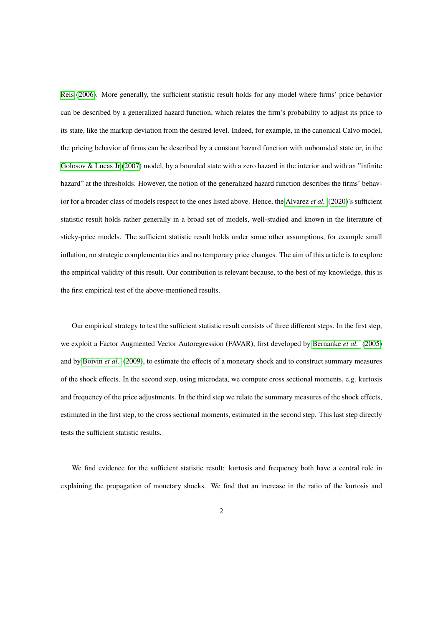[Reis](#page-29-3) [\(2006\)](#page-29-3). More generally, the sufficient statistic result holds for any model where firms' price behavior can be described by a generalized hazard function, which relates the firm's probability to adjust its price to its state, like the markup deviation from the desired level. Indeed, for example, in the canonical Calvo model, the pricing behavior of firms can be described by a constant hazard function with unbounded state or, in the [Golosov & Lucas Jr](#page-29-0) [\(2007\)](#page-29-0) model, by a bounded state with a zero hazard in the interior and with an "infinite" hazard" at the thresholds. However, the notion of the generalized hazard function describes the firms' behavior for a broader class of models respect to the ones listed above. Hence, the [Alvarez](#page-28-0) *et al.* [\(2020\)](#page-28-0)'s sufficient statistic result holds rather generally in a broad set of models, well-studied and known in the literature of sticky-price models. The sufficient statistic result holds under some other assumptions, for example small inflation, no strategic complementarities and no temporary price changes. The aim of this article is to explore the empirical validity of this result. Our contribution is relevant because, to the best of my knowledge, this is the first empirical test of the above-mentioned results.

Our empirical strategy to test the sufficient statistic result consists of three different steps. In the first step, we exploit a Factor Augmented Vector Autoregression (FAVAR), first developed by [Bernanke](#page-28-2) *et al.* [\(2005\)](#page-28-2) and by [Boivin](#page-28-3) *et al.* [\(2009\)](#page-28-3), to estimate the effects of a monetary shock and to construct summary measures of the shock effects. In the second step, using microdata, we compute cross sectional moments, e.g. kurtosis and frequency of the price adjustments. In the third step we relate the summary measures of the shock effects, estimated in the first step, to the cross sectional moments, estimated in the second step. This last step directly tests the sufficient statistic results.

We find evidence for the sufficient statistic result: kurtosis and frequency both have a central role in explaining the propagation of monetary shocks. We find that an increase in the ratio of the kurtosis and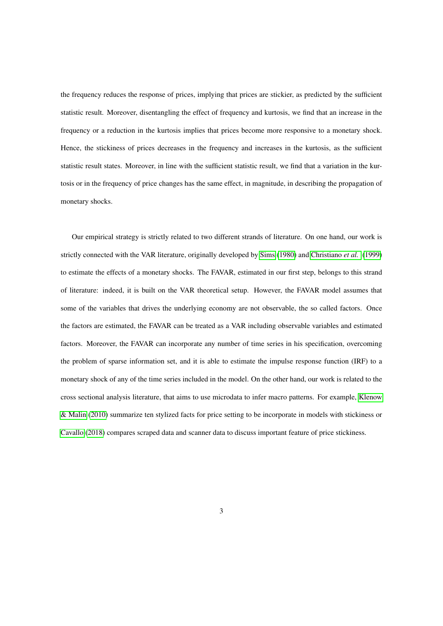the frequency reduces the response of prices, implying that prices are stickier, as predicted by the sufficient statistic result. Moreover, disentangling the effect of frequency and kurtosis, we find that an increase in the frequency or a reduction in the kurtosis implies that prices become more responsive to a monetary shock. Hence, the stickiness of prices decreases in the frequency and increases in the kurtosis, as the sufficient statistic result states. Moreover, in line with the sufficient statistic result, we find that a variation in the kurtosis or in the frequency of price changes has the same effect, in magnitude, in describing the propagation of monetary shocks.

Our empirical strategy is strictly related to two different strands of literature. On one hand, our work is strictly connected with the VAR literature, originally developed by [Sims](#page-29-4) [\(1980\)](#page-29-4) and [Christiano](#page-28-4) *et al.* [\(1999\)](#page-28-4) to estimate the effects of a monetary shocks. The FAVAR, estimated in our first step, belongs to this strand of literature: indeed, it is built on the VAR theoretical setup. However, the FAVAR model assumes that some of the variables that drives the underlying economy are not observable, the so called factors. Once the factors are estimated, the FAVAR can be treated as a VAR including observable variables and estimated factors. Moreover, the FAVAR can incorporate any number of time series in his specification, overcoming the problem of sparse information set, and it is able to estimate the impulse response function (IRF) to a monetary shock of any of the time series included in the model. On the other hand, our work is related to the cross sectional analysis literature, that aims to use microdata to infer macro patterns. For example, [Klenow](#page-29-5) [& Malin](#page-29-5) [\(2010\)](#page-29-5) summarize ten stylized facts for price setting to be incorporate in models with stickiness or [Cavallo](#page-28-5) [\(2018\)](#page-28-5) compares scraped data and scanner data to discuss important feature of price stickiness.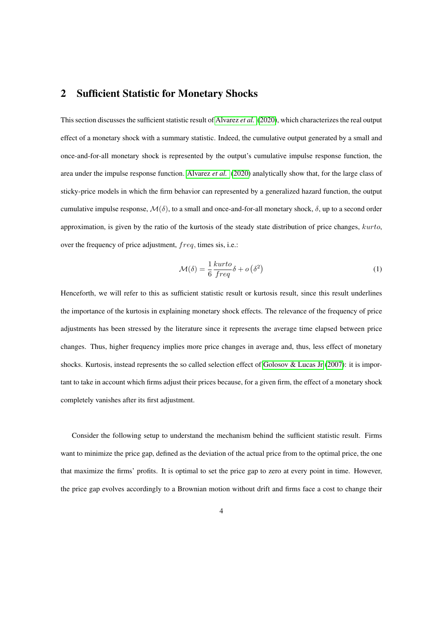### 2 Sufficient Statistic for Monetary Shocks

This section discusses the sufficient statistic result of [Alvarez](#page-28-0) *et al.* [\(2020\)](#page-28-0), which characterizes the real output effect of a monetary shock with a summary statistic. Indeed, the cumulative output generated by a small and once-and-for-all monetary shock is represented by the output's cumulative impulse response function, the area under the impulse response function. [Alvarez](#page-28-0) *et al.* [\(2020\)](#page-28-0) analytically show that, for the large class of sticky-price models in which the firm behavior can represented by a generalized hazard function, the output cumulative impulse response,  $\mathcal{M}(\delta)$ , to a small and once-and-for-all monetary shock,  $\delta$ , up to a second order approximation, is given by the ratio of the kurtosis of the steady state distribution of price changes, kurto, over the frequency of price adjustment, freq, times sis, i.e.:

<span id="page-6-0"></span>
$$
\mathcal{M}(\delta) = \frac{1}{6} \frac{kurto}{freq} \delta + o\left(\delta^2\right) \tag{1}
$$

Henceforth, we will refer to this as sufficient statistic result or kurtosis result, since this result underlines the importance of the kurtosis in explaining monetary shock effects. The relevance of the frequency of price adjustments has been stressed by the literature since it represents the average time elapsed between price changes. Thus, higher frequency implies more price changes in average and, thus, less effect of monetary shocks. Kurtosis, instead represents the so called selection effect of [Golosov & Lucas Jr](#page-29-0) [\(2007\)](#page-29-0): it is important to take in account which firms adjust their prices because, for a given firm, the effect of a monetary shock completely vanishes after its first adjustment.

Consider the following setup to understand the mechanism behind the sufficient statistic result. Firms want to minimize the price gap, defined as the deviation of the actual price from to the optimal price, the one that maximize the firms' profits. It is optimal to set the price gap to zero at every point in time. However, the price gap evolves accordingly to a Brownian motion without drift and firms face a cost to change their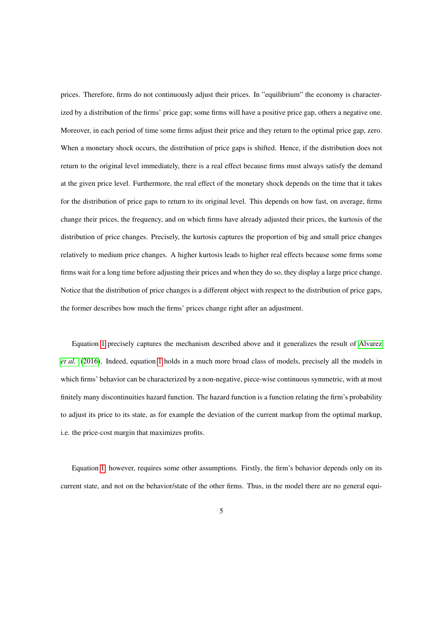prices. Therefore, firms do not continuously adjust their prices. In "equilibrium" the economy is characterized by a distribution of the firms' price gap; some firms will have a positive price gap, others a negative one. Moreover, in each period of time some firms adjust their price and they return to the optimal price gap, zero. When a monetary shock occurs, the distribution of price gaps is shifted. Hence, if the distribution does not return to the original level immediately, there is a real effect because firms must always satisfy the demand at the given price level. Furthermore, the real effect of the monetary shock depends on the time that it takes for the distribution of price gaps to return to its original level. This depends on how fast, on average, firms change their prices, the frequency, and on which firms have already adjusted their prices, the kurtosis of the distribution of price changes. Precisely, the kurtosis captures the proportion of big and small price changes relatively to medium price changes. A higher kurtosis leads to higher real effects because some firms some firms wait for a long time before adjusting their prices and when they do so, they display a large price change. Notice that the distribution of price changes is a different object with respect to the distribution of price gaps, the former describes how much the firms' prices change right after an adjustment.

Equation [1](#page-6-0) precisely captures the mechanism described above and it generalizes the result of [Alvarez](#page-28-6) *[et al.](#page-28-6)* [\(2016\)](#page-28-6). Indeed, equation [1](#page-6-0) holds in a much more broad class of models, precisely all the models in which firms' behavior can be characterized by a non-negative, piece-wise continuous symmetric, with at most finitely many discontinuities hazard function. The hazard function is a function relating the firm's probability to adjust its price to its state, as for example the deviation of the current markup from the optimal markup, i.e. the price-cost margin that maximizes profits.

Equation [1,](#page-6-0) however, requires some other assumptions. Firstly, the firm's behavior depends only on its current state, and not on the behavior/state of the other firms. Thus, in the model there are no general equi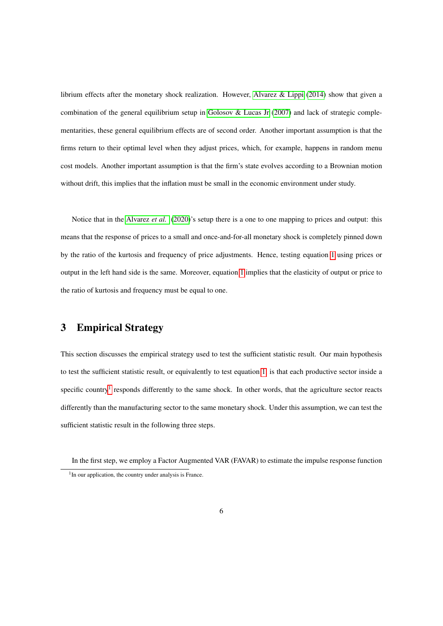librium effects after the monetary shock realization. However, [Alvarez & Lippi](#page-28-7) [\(2014\)](#page-28-7) show that given a combination of the general equilibrium setup in [Golosov & Lucas Jr](#page-29-0) [\(2007\)](#page-29-0) and lack of strategic complementarities, these general equilibrium effects are of second order. Another important assumption is that the firms return to their optimal level when they adjust prices, which, for example, happens in random menu cost models. Another important assumption is that the firm's state evolves according to a Brownian motion without drift, this implies that the inflation must be small in the economic environment under study.

Notice that in the [Alvarez](#page-28-0) *et al.* [\(2020\)](#page-28-0)'s setup there is a one to one mapping to prices and output: this means that the response of prices to a small and once-and-for-all monetary shock is completely pinned down by the ratio of the kurtosis and frequency of price adjustments. Hence, testing equation [1](#page-6-0) using prices or output in the left hand side is the same. Moreover, equation [1](#page-6-0) implies that the elasticity of output or price to the ratio of kurtosis and frequency must be equal to one.

# 3 Empirical Strategy

This section discusses the empirical strategy used to test the sufficient statistic result. Our main hypothesis to test the sufficient statistic result, or equivalently to test equation [1,](#page-6-0) is that each productive sector inside a specific country<sup>[1](#page-8-0)</sup> responds differently to the same shock. In other words, that the agriculture sector reacts differently than the manufacturing sector to the same monetary shock. Under this assumption, we can test the sufficient statistic result in the following three steps.

<span id="page-8-0"></span>In the first step, we employ a Factor Augmented VAR (FAVAR) to estimate the impulse response function <sup>1</sup>In our application, the country under analysis is France.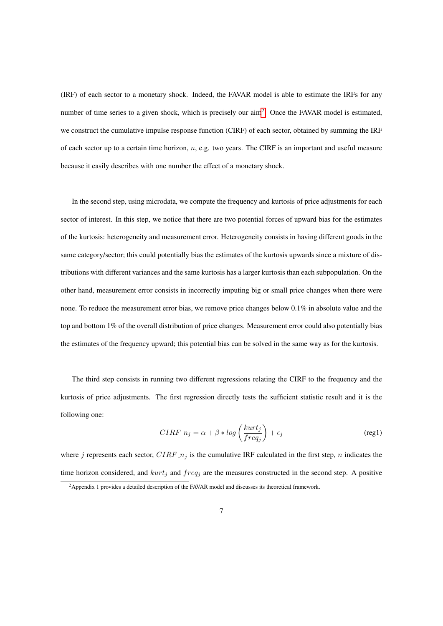(IRF) of each sector to a monetary shock. Indeed, the FAVAR model is able to estimate the IRFs for any number of time series to a given shock, which is precisely our  $\text{aim}^2$  $\text{aim}^2$ . Once the FAVAR model is estimated, we construct the cumulative impulse response function (CIRF) of each sector, obtained by summing the IRF of each sector up to a certain time horizon,  $n$ , e.g. two years. The CIRF is an important and useful measure because it easily describes with one number the effect of a monetary shock.

In the second step, using microdata, we compute the frequency and kurtosis of price adjustments for each sector of interest. In this step, we notice that there are two potential forces of upward bias for the estimates of the kurtosis: heterogeneity and measurement error. Heterogeneity consists in having different goods in the same category/sector; this could potentially bias the estimates of the kurtosis upwards since a mixture of distributions with different variances and the same kurtosis has a larger kurtosis than each subpopulation. On the other hand, measurement error consists in incorrectly imputing big or small price changes when there were none. To reduce the measurement error bias, we remove price changes below 0.1% in absolute value and the top and bottom 1% of the overall distribution of price changes. Measurement error could also potentially bias the estimates of the frequency upward; this potential bias can be solved in the same way as for the kurtosis.

The third step consists in running two different regressions relating the CIRF to the frequency and the kurtosis of price adjustments. The first regression directly tests the sufficient statistic result and it is the following one:

<span id="page-9-1"></span>
$$
CIRF.n_j = \alpha + \beta * \log\left(\frac{kurt_j}{freq_j}\right) + \epsilon_j
$$
 (reg1)

where j represents each sector,  $CIRF_{n_j}$  is the cumulative IRF calculated in the first step, n indicates the time horizon considered, and  $kurt_j$  and  $freq_j$  are the measures constructed in the second step. A positive

<span id="page-9-0"></span><sup>&</sup>lt;sup>2</sup>Appendix 1 provides a detailed description of the FAVAR model and discusses its theoretical framework.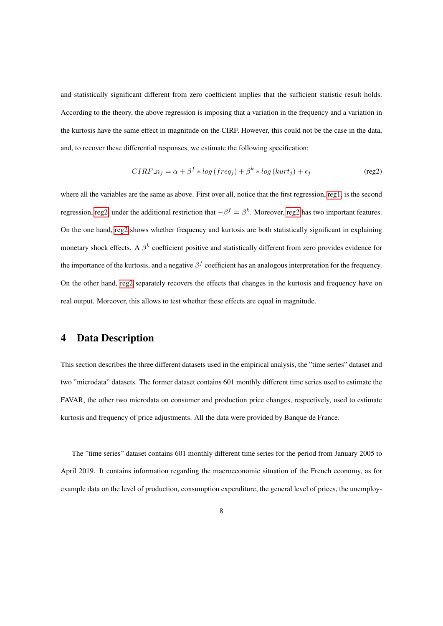and statistically significant different from zero coefficient implies that the sufficient statistic result holds. According to the theory, the above regression is imposing that a variation in the frequency and a variation in the kurtosis have the same effect in magnitude on the CIRF. However, this could not be the case in the data, and, to recover these differential responses, we estimate the following specification:

<span id="page-10-0"></span>
$$
CIRF_n = \alpha + \beta^f * \log(freq_j) + \beta^k * \log(kurt_j) + \epsilon_j
$$
\n(reg2)

where all the variables are the same as above. First over all, notice that the first regression, [reg1,](#page-9-1) is the second regression, [reg2,](#page-10-0) under the additional restriction that  $-\beta^f = \beta^k$ . Moreover, [reg2](#page-10-0) has two important features. On the one hand, [reg2](#page-10-0) shows whether frequency and kurtosis are both statistically significant in explaining monetary shock effects. A  $\beta^k$  coefficient positive and statistically different from zero provides evidence for the importance of the kurtosis, and a negative  $\beta^f$  coefficient has an analogous interpretation for the frequency. On the other hand, [reg2](#page-10-0) separately recovers the effects that changes in the kurtosis and frequency have on real output. Moreover, this allows to test whether these effects are equal in magnitude.

# 4 Data Description

This section describes the three different datasets used in the empirical analysis, the "time series" dataset and two "microdata" datasets. The former dataset contains 601 monthly different time series used to estimate the FAVAR, the other two microdata on consumer and production price changes, respectively, used to estimate kurtosis and frequency of price adjustments. All the data were provided by Banque de France.

The "time series" dataset contains 601 monthly different time series for the period from January 2005 to April 2019. It contains information regarding the macroeconomic situation of the French economy, as for example data on the level of production, consumption expenditure, the general level of prices, the unemploy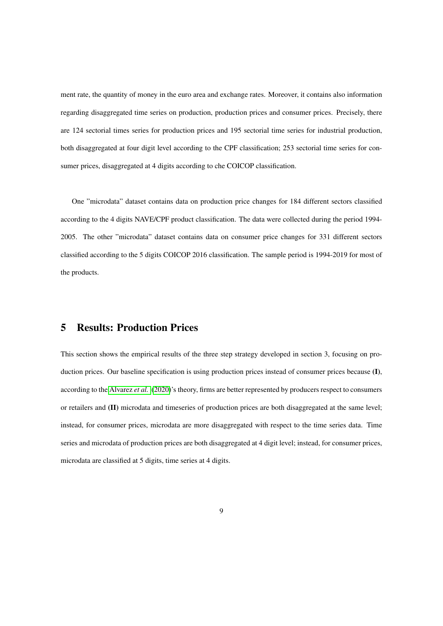ment rate, the quantity of money in the euro area and exchange rates. Moreover, it contains also information regarding disaggregated time series on production, production prices and consumer prices. Precisely, there are 124 sectorial times series for production prices and 195 sectorial time series for industrial production, both disaggregated at four digit level according to the CPF classification; 253 sectorial time series for consumer prices, disaggregated at 4 digits according to che COICOP classification.

One "microdata" dataset contains data on production price changes for 184 different sectors classified according to the 4 digits NAVE/CPF product classification. The data were collected during the period 1994- 2005. The other "microdata" dataset contains data on consumer price changes for 331 different sectors classified according to the 5 digits COICOP 2016 classification. The sample period is 1994-2019 for most of the products.

### 5 Results: Production Prices

This section shows the empirical results of the three step strategy developed in section 3, focusing on production prices. Our baseline specification is using production prices instead of consumer prices because (I), according to the [Alvarez](#page-28-0) *et al.* [\(2020\)](#page-28-0)'s theory, firms are better represented by producers respect to consumers or retailers and (II) microdata and timeseries of production prices are both disaggregated at the same level; instead, for consumer prices, microdata are more disaggregated with respect to the time series data. Time series and microdata of production prices are both disaggregated at 4 digit level; instead, for consumer prices, microdata are classified at 5 digits, time series at 4 digits.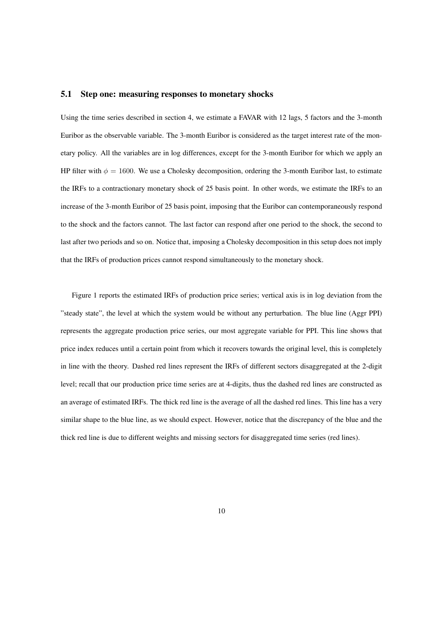#### 5.1 Step one: measuring responses to monetary shocks

Using the time series described in section 4, we estimate a FAVAR with 12 lags, 5 factors and the 3-month Euribor as the observable variable. The 3-month Euribor is considered as the target interest rate of the monetary policy. All the variables are in log differences, except for the 3-month Euribor for which we apply an HP filter with  $\phi = 1600$ . We use a Cholesky decomposition, ordering the 3-month Euribor last, to estimate the IRFs to a contractionary monetary shock of 25 basis point. In other words, we estimate the IRFs to an increase of the 3-month Euribor of 25 basis point, imposing that the Euribor can contemporaneously respond to the shock and the factors cannot. The last factor can respond after one period to the shock, the second to last after two periods and so on. Notice that, imposing a Cholesky decomposition in this setup does not imply that the IRFs of production prices cannot respond simultaneously to the monetary shock.

Figure 1 reports the estimated IRFs of production price series; vertical axis is in log deviation from the "steady state", the level at which the system would be without any perturbation. The blue line (Aggr PPI) represents the aggregate production price series, our most aggregate variable for PPI. This line shows that price index reduces until a certain point from which it recovers towards the original level, this is completely in line with the theory. Dashed red lines represent the IRFs of different sectors disaggregated at the 2-digit level; recall that our production price time series are at 4-digits, thus the dashed red lines are constructed as an average of estimated IRFs. The thick red line is the average of all the dashed red lines. This line has a very similar shape to the blue line, as we should expect. However, notice that the discrepancy of the blue and the thick red line is due to different weights and missing sectors for disaggregated time series (red lines).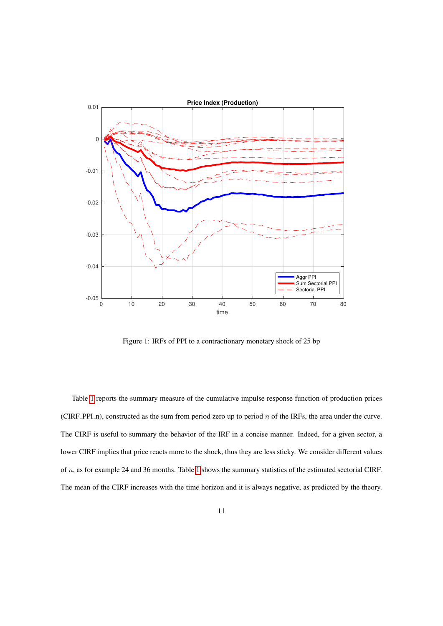

Figure 1: IRFs of PPI to a contractionary monetary shock of 25 bp

Table [1](#page-14-0) reports the summary measure of the cumulative impulse response function of production prices (CIRF\_PPI\_n), constructed as the sum from period zero up to period  $n$  of the IRFs, the area under the curve. The CIRF is useful to summary the behavior of the IRF in a concise manner. Indeed, for a given sector, a lower CIRF implies that price reacts more to the shock, thus they are less sticky. We consider different values of  $n$ , as for example 24 and 36 months. Table [1](#page-14-0) shows the summary statistics of the estimated sectorial CIRF. The mean of the CIRF increases with the time horizon and it is always negative, as predicted by the theory.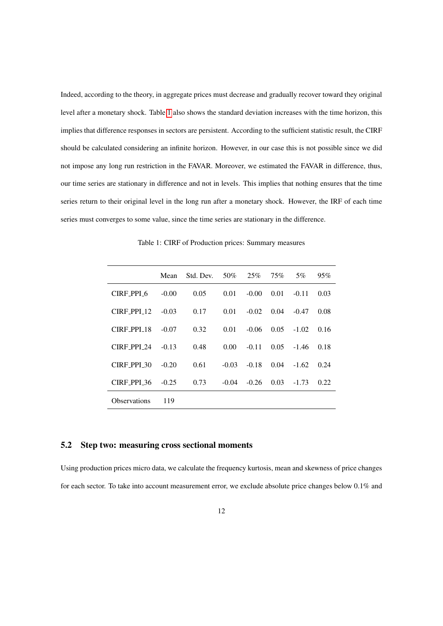Indeed, according to the theory, in aggregate prices must decrease and gradually recover toward they original level after a monetary shock. Table [1](#page-14-0) also shows the standard deviation increases with the time horizon, this implies that difference responses in sectors are persistent. According to the sufficient statistic result, the CIRF should be calculated considering an infinite horizon. However, in our case this is not possible since we did not impose any long run restriction in the FAVAR. Moreover, we estimated the FAVAR in difference, thus, our time series are stationary in difference and not in levels. This implies that nothing ensures that the time series return to their original level in the long run after a monetary shock. However, the IRF of each time series must converges to some value, since the time series are stationary in the difference.

<span id="page-14-0"></span>

|               | Mean    | Std. Dev. | 50%     | 25%     | 75%  | 5%      | 95%  |
|---------------|---------|-----------|---------|---------|------|---------|------|
| CIRE PPI 6    | $-0.00$ | 0.05      | 0.01    | $-0.00$ | 0.01 | $-0.11$ | 0.03 |
| $CIRF_PPI_12$ | $-0.03$ | 0.17      | 0.01    | $-0.02$ | 0.04 | $-0.47$ | 0.08 |
| CIRE PPI 18   | $-0.07$ | 0.32      | 0.01    | $-0.06$ | 0.05 | $-1.02$ | 0.16 |
| CIRF PPI 24   | $-0.13$ | 0.48      | 0.00    | $-0.11$ | 0.05 | $-1.46$ | 0.18 |
| CIRE PPI 30   | $-0.20$ | 0.61      | $-0.03$ | $-0.18$ | 0.04 | $-1.62$ | 0.24 |
| CIRE PPI 36   | $-0.25$ | 0.73      | $-0.04$ | $-0.26$ | 0.03 | $-1.73$ | 0.22 |
| Observations  | 119     |           |         |         |      |         |      |

Table 1: CIRF of Production prices: Summary measures

#### 5.2 Step two: measuring cross sectional moments

Using production prices micro data, we calculate the frequency kurtosis, mean and skewness of price changes for each sector. To take into account measurement error, we exclude absolute price changes below 0.1% and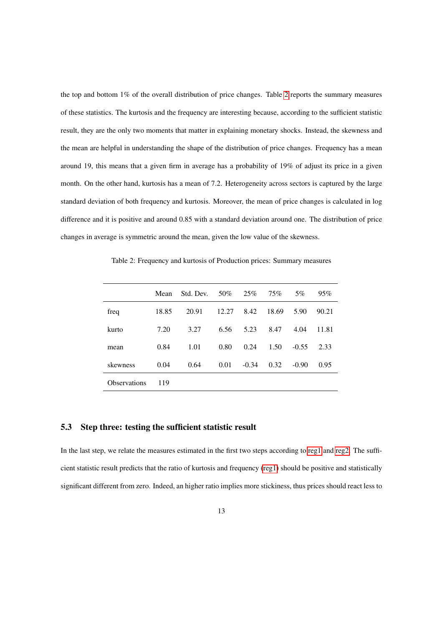the top and bottom 1% of the overall distribution of price changes. Table [2](#page-15-0) reports the summary measures of these statistics. The kurtosis and the frequency are interesting because, according to the sufficient statistic result, they are the only two moments that matter in explaining monetary shocks. Instead, the skewness and the mean are helpful in understanding the shape of the distribution of price changes. Frequency has a mean around 19, this means that a given firm in average has a probability of 19% of adjust its price in a given month. On the other hand, kurtosis has a mean of 7.2. Heterogeneity across sectors is captured by the large standard deviation of both frequency and kurtosis. Moreover, the mean of price changes is calculated in log difference and it is positive and around 0.85 with a standard deviation around one. The distribution of price changes in average is symmetric around the mean, given the low value of the skewness.

<span id="page-15-0"></span>Table 2: Frequency and kurtosis of Production prices: Summary measures

|                     | Mean  | Std. Dev. | 50%   | 25%     | 75%   | 5%      | 95%   |
|---------------------|-------|-----------|-------|---------|-------|---------|-------|
| freq                | 18.85 | 20.91     | 12.27 | 8.42    | 18.69 | 5.90    | 90.21 |
| kurto               | 7.20  | 3.27      | 6.56  | 5.23    | 8.47  | 4.04    | 11.81 |
| mean                | 0.84  | 1.01      | 0.80  | 0.24    | 1.50  | $-0.55$ | 2.33  |
| skewness            | 0.04  | 0.64      | 0.01  | $-0.34$ | 0.32  | $-0.90$ | 0.95  |
| <b>Observations</b> | 119   |           |       |         |       |         |       |

#### 5.3 Step three: testing the sufficient statistic result

In the last step, we relate the measures estimated in the first two steps according to [reg1](#page-9-1) and [reg2.](#page-10-0) The sufficient statistic result predicts that the ratio of kurtosis and frequency [\(reg1\)](#page-9-1) should be positive and statistically significant different from zero. Indeed, an higher ratio implies more stickiness, thus prices should react less to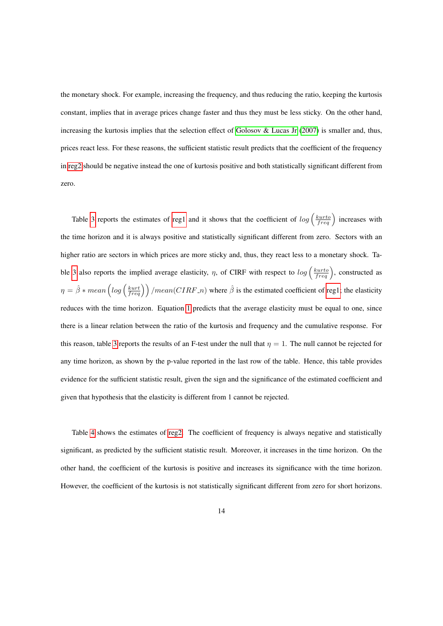the monetary shock. For example, increasing the frequency, and thus reducing the ratio, keeping the kurtosis constant, implies that in average prices change faster and thus they must be less sticky. On the other hand, increasing the kurtosis implies that the selection effect of [Golosov & Lucas Jr](#page-29-0) [\(2007\)](#page-29-0) is smaller and, thus, prices react less. For these reasons, the sufficient statistic result predicts that the coefficient of the frequency in [reg2](#page-10-0) should be negative instead the one of kurtosis positive and both statistically significant different from zero.

Table [3](#page-17-0) reports the estimates of [reg1](#page-9-1) and it shows that the coefficient of  $log\left(\frac{kurto}{freq}\right)$  increases with the time horizon and it is always positive and statistically significant different from zero. Sectors with an higher ratio are sectors in which prices are more sticky and, thus, they react less to a monetary shock. Ta-ble [3](#page-17-0) also reports the implied average elasticity,  $\eta$ , of CIRF with respect to  $log\left(\frac{kurto}{freq}\right)$ , constructed as  $\eta = \hat{\beta} * mean \left( log \left( \frac{kurt}{freq} \right) \right) / mean(CIRF.n)$  where  $\hat{\beta}$  is the estimated coefficient of [reg1;](#page-9-1) the elasticity reduces with the time horizon. Equation [1](#page-6-0) predicts that the average elasticity must be equal to one, since there is a linear relation between the ratio of the kurtosis and frequency and the cumulative response. For this reason, table [3](#page-17-0) reports the results of an F-test under the null that  $\eta = 1$ . The null cannot be rejected for any time horizon, as shown by the p-value reported in the last row of the table. Hence, this table provides evidence for the sufficient statistic result, given the sign and the significance of the estimated coefficient and given that hypothesis that the elasticity is different from 1 cannot be rejected.

Table [4](#page-19-0) shows the estimates of [reg2.](#page-10-0) The coefficient of frequency is always negative and statistically significant, as predicted by the sufficient statistic result. Moreover, it increases in the time horizon. On the other hand, the coefficient of the kurtosis is positive and increases its significance with the time horizon. However, the coefficient of the kurtosis is not statistically significant different from zero for short horizons.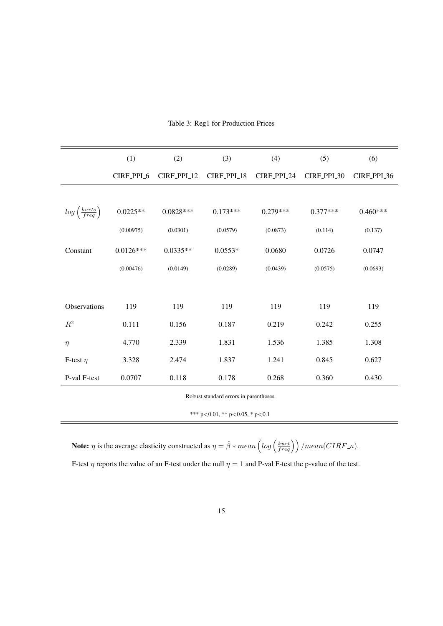<span id="page-17-0"></span>

|                                      | (1)         | (2)         | (3)         | (4)         | (5)         | (6)         |
|--------------------------------------|-------------|-------------|-------------|-------------|-------------|-------------|
|                                      | CIRF_PPI_6  | CIRF_PPI_12 | CIRF_PPI_18 | CIRF_PPI_24 | CIRF_PPI_30 | CIRF_PPI_36 |
|                                      |             |             |             |             |             |             |
| $log\left(\frac{kurto}{freq}\right)$ | $0.0225**$  | $0.0828***$ | $0.173***$  | $0.279***$  | $0.377***$  | $0.460***$  |
|                                      | (0.00975)   | (0.0301)    | (0.0579)    | (0.0873)    | (0.114)     | (0.137)     |
| Constant                             | $0.0126***$ | $0.0335**$  | $0.0553*$   | 0.0680      | 0.0726      | 0.0747      |
|                                      | (0.00476)   | (0.0149)    | (0.0289)    | (0.0439)    | (0.0575)    | (0.0693)    |
|                                      |             |             |             |             |             |             |
| Observations                         | 119         | 119         | 119         | 119         | 119         | 119         |
| $R^2$                                | 0.111       | 0.156       | 0.187       | 0.219       | 0.242       | 0.255       |
| $\eta$                               | 4.770       | 2.339       | 1.831       | 1.536       | 1.385       | 1.308       |
| F-test $\eta$                        | 3.328       | 2.474       | 1.837       | 1.241       | 0.845       | 0.627       |
| P-val F-test                         | 0.0707      | 0.118       | 0.178       | 0.268       | 0.360       | 0.430       |

#### Table 3: Reg1 for Production Prices

Robust standard errors in parentheses

\*\*\* p<0.01, \*\* p<0.05, \* p<0.1

**Note:**  $\eta$  is the average elasticity constructed as  $\eta = \hat{\beta} * mean \left( log \left( \frac{kurt}{freq} \right) \right) / mean(CIRF.n)$ .

F-test  $\eta$  reports the value of an F-test under the null  $\eta = 1$  and P-val F-test the p-value of the test.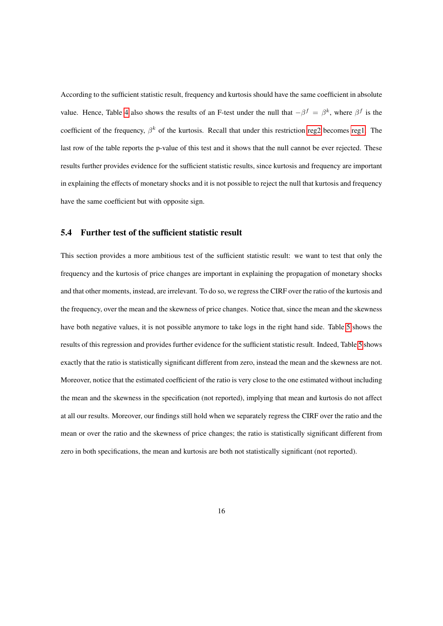According to the sufficient statistic result, frequency and kurtosis should have the same coefficient in absolute value. Hence, Table [4](#page-19-0) also shows the results of an F-test under the null that  $-\beta^f = \beta^k$ , where  $\beta^f$  is the coefficient of the frequency,  $\beta^k$  of the kurtosis. Recall that under this restriction [reg2](#page-10-0) becomes [reg1.](#page-9-1) The last row of the table reports the p-value of this test and it shows that the null cannot be ever rejected. These results further provides evidence for the sufficient statistic results, since kurtosis and frequency are important in explaining the effects of monetary shocks and it is not possible to reject the null that kurtosis and frequency have the same coefficient but with opposite sign.

#### 5.4 Further test of the sufficient statistic result

This section provides a more ambitious test of the sufficient statistic result: we want to test that only the frequency and the kurtosis of price changes are important in explaining the propagation of monetary shocks and that other moments, instead, are irrelevant. To do so, we regress the CIRF over the ratio of the kurtosis and the frequency, over the mean and the skewness of price changes. Notice that, since the mean and the skewness have both negative values, it is not possible anymore to take logs in the right hand side. Table [5](#page-20-0) shows the results of this regression and provides further evidence for the sufficient statistic result. Indeed, Table [5](#page-20-0) shows exactly that the ratio is statistically significant different from zero, instead the mean and the skewness are not. Moreover, notice that the estimated coefficient of the ratio is very close to the one estimated without including the mean and the skewness in the specification (not reported), implying that mean and kurtosis do not affect at all our results. Moreover, our findings still hold when we separately regress the CIRF over the ratio and the mean or over the ratio and the skewness of price changes; the ratio is statistically significant different from zero in both specifications, the mean and kurtosis are both not statistically significant (not reported).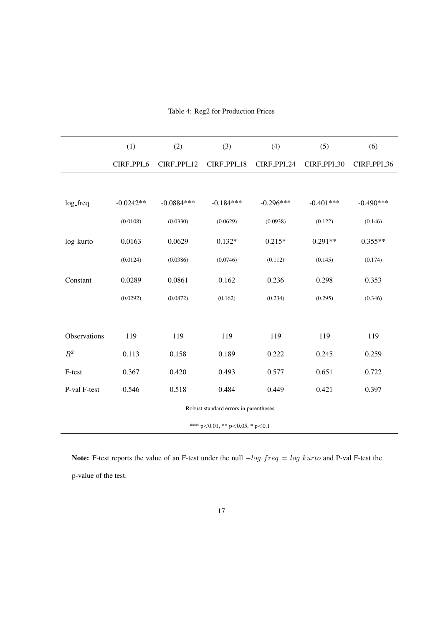<span id="page-19-0"></span>

|              | (1)         | (2)          | (3)         | (4)         | (5)         | (6)         |
|--------------|-------------|--------------|-------------|-------------|-------------|-------------|
|              | CIRF_PPI_6  | CIRF_PPI_12  | CIRF_PPI_18 | CIRF_PPI_24 | CIRF_PPI_30 | CIRF_PPI_36 |
|              |             |              |             |             |             |             |
| log_freq     | $-0.0242**$ | $-0.0884***$ | $-0.184***$ | $-0.296***$ | $-0.401***$ | $-0.490***$ |
|              | (0.0108)    | (0.0330)     | (0.0629)    | (0.0938)    | (0.122)     | (0.146)     |
| log_kurto    | 0.0163      | 0.0629       | $0.132*$    | $0.215*$    | $0.291**$   | $0.355**$   |
|              | (0.0124)    | (0.0386)     | (0.0746)    | (0.112)     | (0.145)     | (0.174)     |
| Constant     | 0.0289      | 0.0861       | 0.162       | 0.236       | 0.298       | 0.353       |
|              | (0.0292)    | (0.0872)     | (0.162)     | (0.234)     | (0.295)     | (0.346)     |
|              |             |              |             |             |             |             |
| Observations | 119         | 119          | 119         | 119         | 119         | 119         |
| $R^2$        | 0.113       | 0.158        | 0.189       | 0.222       | 0.245       | 0.259       |
| F-test       | 0.367       | 0.420        | 0.493       | 0.577       | 0.651       | 0.722       |
| P-val F-test | 0.546       | 0.518        | 0.484       | 0.449       | 0.421       | 0.397       |
|              |             |              |             |             |             |             |

Table 4: Reg2 for Production Prices

```
*** p<0.01, ** p<0.05, * p<0.1
```
Note: F-test reports the value of an F-test under the null  $-log\_freq = log\_kurto$  and P-val F-test the p-value of the test.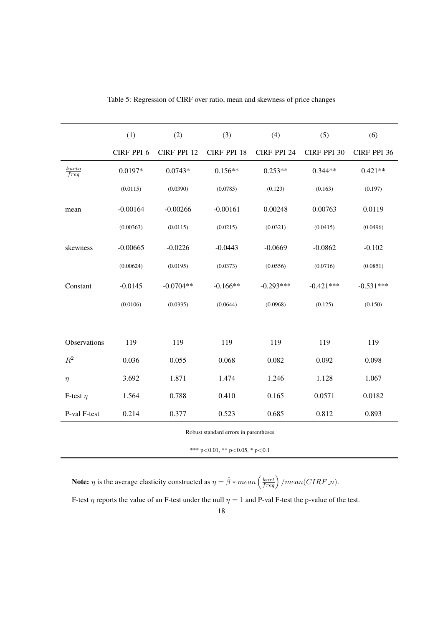<span id="page-20-0"></span>

|                            | (1)        | (2)         | (3)         | (4)         | (5)         | (6)         |
|----------------------------|------------|-------------|-------------|-------------|-------------|-------------|
|                            | CIRF_PPI_6 | CIRF_PPI_12 | CIRF_PPI_18 | CIRF_PPI_24 | CIRF_PPI_30 | CIRF_PPI_36 |
| kurto<br>$\overline{freq}$ | 0.0197*    | $0.0743*$   | $0.156**$   | $0.253**$   | $0.344**$   | $0.421**$   |
|                            | (0.0115)   | (0.0390)    | (0.0785)    | (0.123)     | (0.163)     | (0.197)     |
| mean                       | $-0.00164$ | $-0.00266$  | $-0.00161$  | 0.00248     | 0.00763     | 0.0119      |
|                            | (0.00363)  | (0.0115)    | (0.0215)    | (0.0321)    | (0.0415)    | (0.0496)    |
| skewness                   | $-0.00665$ | $-0.0226$   | $-0.0443$   | $-0.0669$   | $-0.0862$   | $-0.102$    |
|                            | (0.00624)  | (0.0195)    | (0.0373)    | (0.0556)    | (0.0716)    | (0.0851)    |
| Constant                   | $-0.0145$  | $-0.0704**$ | $-0.166**$  | $-0.293***$ | $-0.421***$ | $-0.531***$ |
|                            | (0.0106)   | (0.0335)    | (0.0644)    | (0.0968)    | (0.125)     | (0.150)     |
|                            |            |             |             |             |             |             |
| Observations               | 119        | 119         | 119         | 119         | 119         | 119         |
| $\mathbb{R}^2$             | 0.036      | 0.055       | 0.068       | 0.082       | 0.092       | 0.098       |
| $\eta$                     | 3.692      | 1.871       | 1.474       | 1.246       | 1.128       | 1.067       |
| F-test $\eta$              | 1.564      | 0.788       | 0.410       | 0.165       | 0.0571      | 0.0182      |
| P-val F-test               | 0.214      | 0.377       | 0.523       | 0.685       | 0.812       | 0.893       |

Table 5: Regression of CIRF over ratio, mean and skewness of price changes

\*\*\* p<0.01, \*\* p<0.05, \* p<0.1

**Note:**  $\eta$  is the average elasticity constructed as  $\eta = \hat{\beta} * mean\left(\frac{kurt}{freq}\right) / mean(CIRF.n)$ .

F-test  $\eta$  reports the value of an F-test under the null  $\eta = 1$  and P-val F-test the p-value of the test.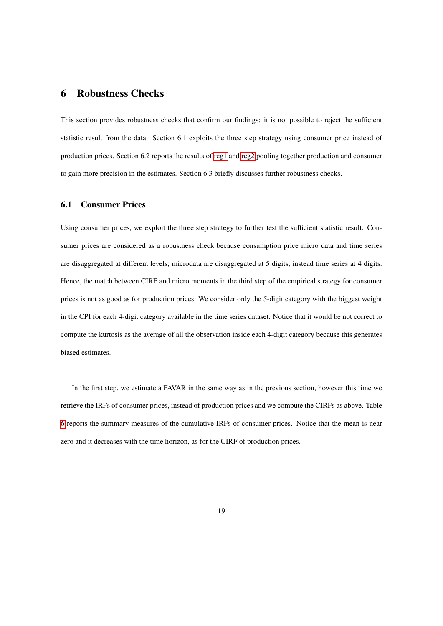### 6 Robustness Checks

This section provides robustness checks that confirm our findings: it is not possible to reject the sufficient statistic result from the data. Section 6.1 exploits the three step strategy using consumer price instead of production prices. Section 6.2 reports the results of [reg1](#page-9-1) and [reg2](#page-10-0) pooling together production and consumer to gain more precision in the estimates. Section 6.3 briefly discusses further robustness checks.

#### 6.1 Consumer Prices

Using consumer prices, we exploit the three step strategy to further test the sufficient statistic result. Consumer prices are considered as a robustness check because consumption price micro data and time series are disaggregated at different levels; microdata are disaggregated at 5 digits, instead time series at 4 digits. Hence, the match between CIRF and micro moments in the third step of the empirical strategy for consumer prices is not as good as for production prices. We consider only the 5-digit category with the biggest weight in the CPI for each 4-digit category available in the time series dataset. Notice that it would be not correct to compute the kurtosis as the average of all the observation inside each 4-digit category because this generates biased estimates.

In the first step, we estimate a FAVAR in the same way as in the previous section, however this time we retrieve the IRFs of consumer prices, instead of production prices and we compute the CIRFs as above. Table [6](#page-22-0) reports the summary measures of the cumulative IRFs of consumer prices. Notice that the mean is near zero and it decreases with the time horizon, as for the CIRF of production prices.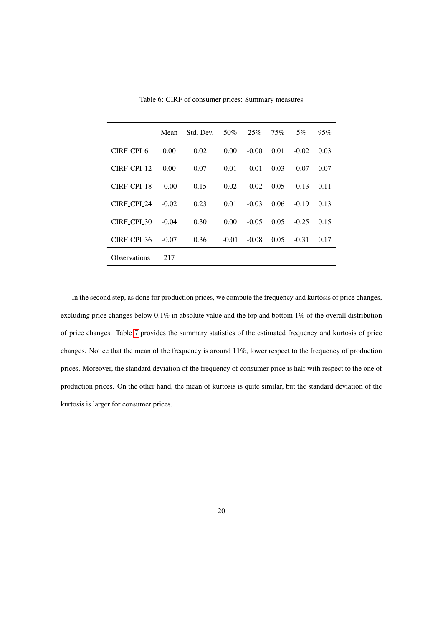<span id="page-22-0"></span>

|                        | Mean    | Std. Dev. | 50%     | 25%     | 75%  | 5%      | 95%  |
|------------------------|---------|-----------|---------|---------|------|---------|------|
| CIRE_CPL_6             | 0.00    | 0.02      | 0.00    | $-0.00$ | 0.01 | $-0.02$ | 0.03 |
| CIRF CPI 12            | 0.00    | 0.07      | 0.01    | $-0.01$ | 0.03 | $-0.07$ | 0.07 |
| CIRE CPI 18            | $-0.00$ | 0.15      | 0.02    | $-0.02$ | 0.05 | $-0.13$ | 0.11 |
| CIRE CPI 24            | $-0.02$ | 0.23      | 0.01    | $-0.03$ | 0.06 | $-0.19$ | 0.13 |
| CIRE CPL <sub>30</sub> | $-0.04$ | 0.30      | 0.00    | $-0.05$ | 0.05 | $-0.25$ | 0.15 |
| CIRE_CPL_36            | $-0.07$ | 0.36      | $-0.01$ | $-0.08$ | 0.05 | $-0.31$ | 0.17 |
| <b>Observations</b>    | 217     |           |         |         |      |         |      |

Table 6: CIRF of consumer prices: Summary measures

In the second step, as done for production prices, we compute the frequency and kurtosis of price changes, excluding price changes below 0.1% in absolute value and the top and bottom 1% of the overall distribution of price changes. Table [7](#page-23-0) provides the summary statistics of the estimated frequency and kurtosis of price changes. Notice that the mean of the frequency is around 11%, lower respect to the frequency of production prices. Moreover, the standard deviation of the frequency of consumer price is half with respect to the one of production prices. On the other hand, the mean of kurtosis is quite similar, but the standard deviation of the kurtosis is larger for consumer prices.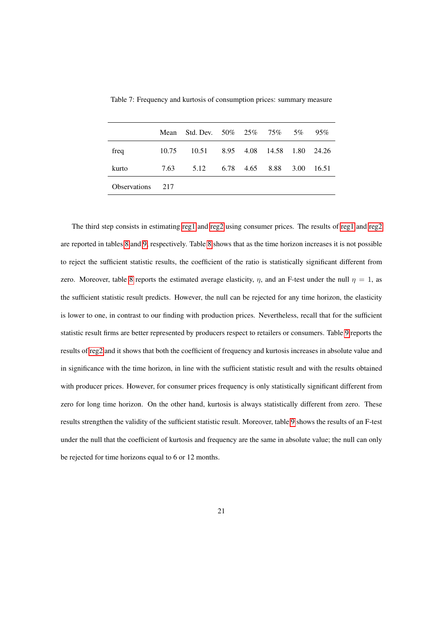|                     | Mean  | Std. Dev. 50% 25% 75% 5%         |                |      | 95%    |
|---------------------|-------|----------------------------------|----------------|------|--------|
| freq                | 10.75 | 10.51 8.95 4.08 14.58 1.80 24.26 |                |      |        |
| kurto               | 7.63  | 5.12                             | 6.78 4.65 8.88 | 3.00 | -16.51 |
| <b>Observations</b> | 2.17  |                                  |                |      |        |

<span id="page-23-0"></span>Table 7: Frequency and kurtosis of consumption prices: summary measure

The third step consists in estimating [reg1](#page-9-1) and [reg2](#page-10-0) using consumer prices. The results of [reg1](#page-9-1) and [reg2](#page-10-0) are reported in tables [8](#page-24-0) and [9,](#page-25-0) respectively. Table [8](#page-24-0) shows that as the time horizon increases it is not possible to reject the sufficient statistic results, the coefficient of the ratio is statistically significant different from zero. Moreover, table [8](#page-24-0) reports the estimated average elasticity,  $\eta$ , and an F-test under the null  $\eta = 1$ , as the sufficient statistic result predicts. However, the null can be rejected for any time horizon, the elasticity is lower to one, in contrast to our finding with production prices. Nevertheless, recall that for the sufficient statistic result firms are better represented by producers respect to retailers or consumers. Table [9](#page-25-0) reports the results of [reg2](#page-10-0) and it shows that both the coefficient of frequency and kurtosis increases in absolute value and in significance with the time horizon, in line with the sufficient statistic result and with the results obtained with producer prices. However, for consumer prices frequency is only statistically significant different from zero for long time horizon. On the other hand, kurtosis is always statistically different from zero. These results strengthen the validity of the sufficient statistic result. Moreover, table [9](#page-25-0) shows the results of an F-test under the null that the coefficient of kurtosis and frequency are the same in absolute value; the null can only be rejected for time horizons equal to 6 or 12 months.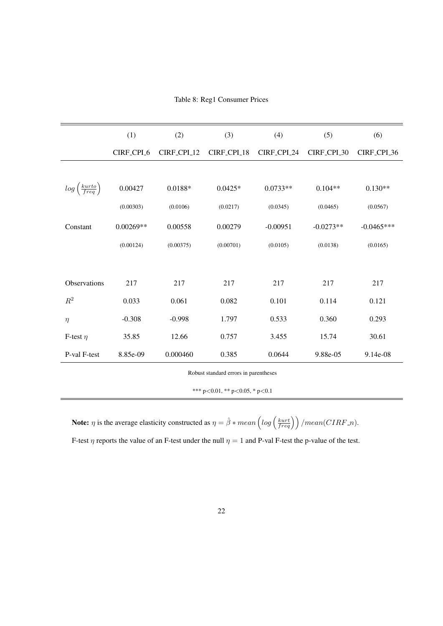|  |  | Table 8: Reg1 Consumer Prices |  |
|--|--|-------------------------------|--|
|--|--|-------------------------------|--|

<span id="page-24-0"></span>

| (1)<br>(2)<br>(3)<br>(4)<br>(5)<br>(6)<br>CIRF_CPI_6<br>CIRF_CPI_12<br>CIRF_CPI_18<br>CIRF_CPI_24<br>CIRF_CPL_30<br>$log\left(\frac{kurto}{freq}\right)$<br>0.00427<br>$0.0188*$<br>$0.0733**$<br>$0.104**$<br>$0.0425*$<br>$0.130**$<br>(0.00303)<br>(0.0106)<br>(0.0217)<br>(0.0345)<br>(0.0465)<br>(0.0567)<br>$0.00269**$<br>0.00558<br>0.00279<br>$-0.00951$<br>$-0.0273**$<br>$-0.0465***$<br>Constant<br>(0.00124)<br>(0.00375)<br>(0.00701)<br>(0.0105)<br>(0.0138)<br>(0.0165) |  |  |  |                         |
|-----------------------------------------------------------------------------------------------------------------------------------------------------------------------------------------------------------------------------------------------------------------------------------------------------------------------------------------------------------------------------------------------------------------------------------------------------------------------------------------|--|--|--|-------------------------|
|                                                                                                                                                                                                                                                                                                                                                                                                                                                                                         |  |  |  |                         |
|                                                                                                                                                                                                                                                                                                                                                                                                                                                                                         |  |  |  | CIRF <sub>-CPL-36</sub> |
|                                                                                                                                                                                                                                                                                                                                                                                                                                                                                         |  |  |  |                         |
|                                                                                                                                                                                                                                                                                                                                                                                                                                                                                         |  |  |  |                         |
|                                                                                                                                                                                                                                                                                                                                                                                                                                                                                         |  |  |  |                         |
|                                                                                                                                                                                                                                                                                                                                                                                                                                                                                         |  |  |  |                         |
|                                                                                                                                                                                                                                                                                                                                                                                                                                                                                         |  |  |  |                         |
|                                                                                                                                                                                                                                                                                                                                                                                                                                                                                         |  |  |  |                         |
| 217<br>217<br>Observations<br>217<br>217<br>217<br>217                                                                                                                                                                                                                                                                                                                                                                                                                                  |  |  |  |                         |
| $\mathbb{R}^2$<br>0.033<br>0.061<br>0.082<br>0.101<br>0.114<br>0.121                                                                                                                                                                                                                                                                                                                                                                                                                    |  |  |  |                         |
| 0.360<br>$-0.308$<br>$-0.998$<br>1.797<br>0.533<br>0.293<br>$\eta$                                                                                                                                                                                                                                                                                                                                                                                                                      |  |  |  |                         |
| 12.66<br>0.757<br>30.61<br>35.85<br>3.455<br>15.74<br>F-test $\eta$                                                                                                                                                                                                                                                                                                                                                                                                                     |  |  |  |                         |
| P-val F-test<br>8.85e-09<br>0.000460<br>0.385<br>9.88e-05<br>0.0644<br>9.14e-08                                                                                                                                                                                                                                                                                                                                                                                                         |  |  |  |                         |

\*\*\* p<0.01, \*\* p<0.05, \* p<0.1

**Note:**  $\eta$  is the average elasticity constructed as  $\eta = \hat{\beta} * mean \left( log \left( \frac{kurt}{freq} \right) \right) / mean(CIRF.n)$ .

F-test  $\eta$  reports the value of an F-test under the null  $\eta = 1$  and P-val F-test the p-value of the test.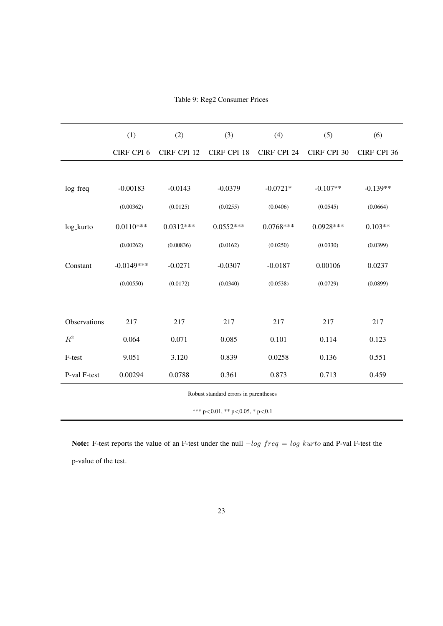|  |  | Table 9: Reg2 Consumer Prices |  |
|--|--|-------------------------------|--|
|--|--|-------------------------------|--|

<span id="page-25-0"></span>

|                | (1)          | (2)                     | (3)                                    | (4)         | (5)         | (6)                     |
|----------------|--------------|-------------------------|----------------------------------------|-------------|-------------|-------------------------|
|                | CIRF_CPI_6   | CIRF <sub>-CPI-12</sub> | CIRF_CPI_18                            | CIRF_CPI_24 | CIRF_CPI_30 | CIRF <sub>-CPL-36</sub> |
|                |              |                         |                                        |             |             |                         |
| log_freq       | $-0.00183$   | $-0.0143$               | $-0.0379$                              | $-0.0721*$  | $-0.107**$  | $-0.139**$              |
|                | (0.00362)    | (0.0125)                | (0.0255)                               | (0.0406)    | (0.0545)    | (0.0664)                |
| log_kurto      | $0.0110***$  | $0.0312***$             | $0.0552***$                            | $0.0768***$ | $0.0928***$ | $0.103**$               |
|                | (0.00262)    | (0.00836)               | (0.0162)                               | (0.0250)    | (0.0330)    | (0.0399)                |
| Constant       | $-0.0149***$ | $-0.0271$               | $-0.0307$                              | $-0.0187$   | 0.00106     | 0.0237                  |
|                | (0.00550)    | (0.0172)                | (0.0340)                               | (0.0538)    | (0.0729)    | (0.0899)                |
|                |              |                         |                                        |             |             |                         |
| Observations   | 217          | 217                     | 217                                    | 217         | 217         | 217                     |
| $\mathbb{R}^2$ | 0.064        | 0.071                   | 0.085                                  | 0.101       | 0.114       | 0.123                   |
| F-test         | 9.051        | 3.120                   | 0.839                                  | 0.0258      | 0.136       | 0.551                   |
| P-val F-test   | 0.00294      | 0.0788                  | 0.361                                  | 0.873       | 0.713       | 0.459                   |
|                |              |                         | Robust standard errors in parentheses  |             |             |                         |
|                |              |                         | *** $p<0.01$ , ** $p<0.05$ , * $p<0.1$ |             |             |                         |

Note: F-test reports the value of an F-test under the null  $-log\_freq = log\_kurto$  and P-val F-test the

p-value of the test.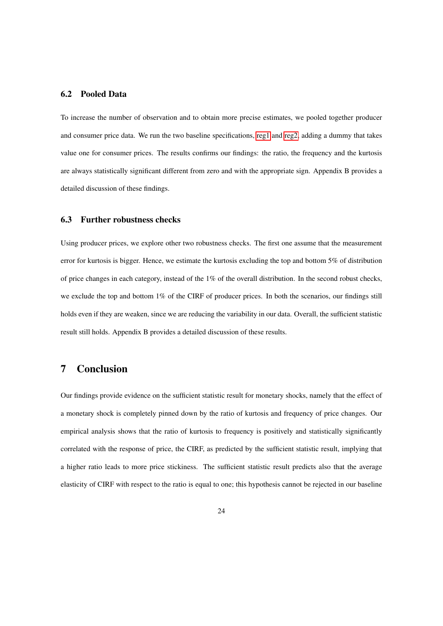#### 6.2 Pooled Data

To increase the number of observation and to obtain more precise estimates, we pooled together producer and consumer price data. We run the two baseline specifications, [reg1](#page-9-1) and [reg2,](#page-10-0) adding a dummy that takes value one for consumer prices. The results confirms our findings: the ratio, the frequency and the kurtosis are always statistically significant different from zero and with the appropriate sign. Appendix B provides a detailed discussion of these findings.

#### 6.3 Further robustness checks

Using producer prices, we explore other two robustness checks. The first one assume that the measurement error for kurtosis is bigger. Hence, we estimate the kurtosis excluding the top and bottom 5% of distribution of price changes in each category, instead of the 1% of the overall distribution. In the second robust checks, we exclude the top and bottom 1% of the CIRF of producer prices. In both the scenarios, our findings still holds even if they are weaken, since we are reducing the variability in our data. Overall, the sufficient statistic result still holds. Appendix B provides a detailed discussion of these results.

### 7 Conclusion

Our findings provide evidence on the sufficient statistic result for monetary shocks, namely that the effect of a monetary shock is completely pinned down by the ratio of kurtosis and frequency of price changes. Our empirical analysis shows that the ratio of kurtosis to frequency is positively and statistically significantly correlated with the response of price, the CIRF, as predicted by the sufficient statistic result, implying that a higher ratio leads to more price stickiness. The sufficient statistic result predicts also that the average elasticity of CIRF with respect to the ratio is equal to one; this hypothesis cannot be rejected in our baseline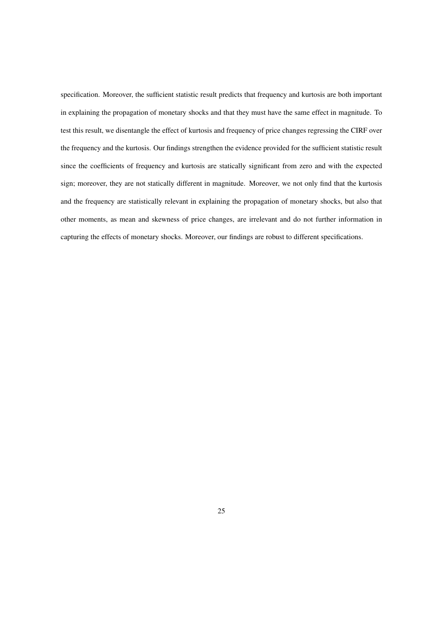specification. Moreover, the sufficient statistic result predicts that frequency and kurtosis are both important in explaining the propagation of monetary shocks and that they must have the same effect in magnitude. To test this result, we disentangle the effect of kurtosis and frequency of price changes regressing the CIRF over the frequency and the kurtosis. Our findings strengthen the evidence provided for the sufficient statistic result since the coefficients of frequency and kurtosis are statically significant from zero and with the expected sign; moreover, they are not statically different in magnitude. Moreover, we not only find that the kurtosis and the frequency are statistically relevant in explaining the propagation of monetary shocks, but also that other moments, as mean and skewness of price changes, are irrelevant and do not further information in capturing the effects of monetary shocks. Moreover, our findings are robust to different specifications.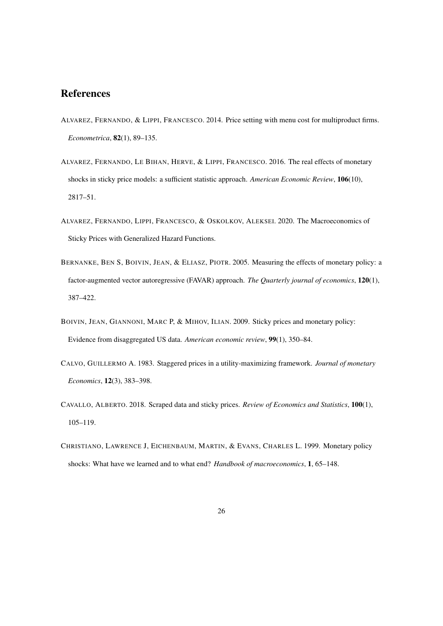## References

- <span id="page-28-7"></span>ALVAREZ, FERNANDO, & LIPPI, FRANCESCO. 2014. Price setting with menu cost for multiproduct firms. *Econometrica*, 82(1), 89–135.
- <span id="page-28-6"></span>ALVAREZ, FERNANDO, LE BIHAN, HERVE, & LIPPI, FRANCESCO. 2016. The real effects of monetary shocks in sticky price models: a sufficient statistic approach. *American Economic Review*, 106(10), 2817–51.
- <span id="page-28-0"></span>ALVAREZ, FERNANDO, LIPPI, FRANCESCO, & OSKOLKOV, ALEKSEI. 2020. The Macroeconomics of Sticky Prices with Generalized Hazard Functions.
- <span id="page-28-2"></span>BERNANKE, BEN S, BOIVIN, JEAN, & ELIASZ, PIOTR. 2005. Measuring the effects of monetary policy: a factor-augmented vector autoregressive (FAVAR) approach. *The Quarterly journal of economics*, 120(1), 387–422.
- <span id="page-28-3"></span>BOIVIN, JEAN, GIANNONI, MARC P, & MIHOV, ILIAN. 2009. Sticky prices and monetary policy: Evidence from disaggregated US data. *American economic review*, 99(1), 350–84.
- <span id="page-28-1"></span>CALVO, GUILLERMO A. 1983. Staggered prices in a utility-maximizing framework. *Journal of monetary Economics*, 12(3), 383–398.
- <span id="page-28-5"></span>CAVALLO, ALBERTO. 2018. Scraped data and sticky prices. *Review of Economics and Statistics*, 100(1), 105–119.
- <span id="page-28-4"></span>CHRISTIANO, LAWRENCE J, EICHENBAUM, MARTIN, & EVANS, CHARLES L. 1999. Monetary policy shocks: What have we learned and to what end? *Handbook of macroeconomics*, 1, 65–148.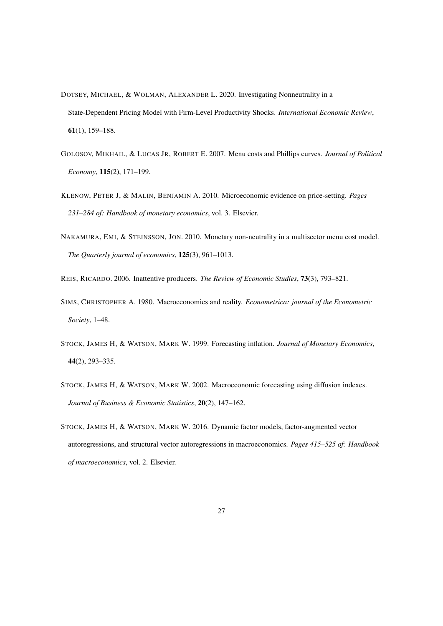- <span id="page-29-2"></span>DOTSEY, MICHAEL, & WOLMAN, ALEXANDER L. 2020. Investigating Nonneutrality in a State-Dependent Pricing Model with Firm-Level Productivity Shocks. *International Economic Review*, 61(1), 159–188.
- <span id="page-29-0"></span>GOLOSOV, MIKHAIL, & LUCAS JR, ROBERT E. 2007. Menu costs and Phillips curves. *Journal of Political Economy*, 115(2), 171–199.
- <span id="page-29-5"></span>KLENOW, PETER J, & MALIN, BENJAMIN A. 2010. Microeconomic evidence on price-setting. *Pages 231–284 of: Handbook of monetary economics*, vol. 3. Elsevier.
- <span id="page-29-1"></span>NAKAMURA, EMI, & STEINSSON, JON. 2010. Monetary non-neutrality in a multisector menu cost model. *The Quarterly journal of economics*, 125(3), 961–1013.

<span id="page-29-4"></span><span id="page-29-3"></span>REIS, RICARDO. 2006. Inattentive producers. *The Review of Economic Studies*, 73(3), 793–821.

- SIMS, CHRISTOPHER A. 1980. Macroeconomics and reality. *Econometrica: journal of the Econometric Society*, 1–48.
- <span id="page-29-8"></span>STOCK, JAMES H, & WATSON, MARK W. 1999. Forecasting inflation. *Journal of Monetary Economics*, 44(2), 293–335.
- <span id="page-29-7"></span>STOCK, JAMES H, & WATSON, MARK W. 2002. Macroeconomic forecasting using diffusion indexes. *Journal of Business & Economic Statistics*, 20(2), 147–162.
- <span id="page-29-6"></span>STOCK, JAMES H, & WATSON, MARK W. 2016. Dynamic factor models, factor-augmented vector autoregressions, and structural vector autoregressions in macroeconomics. *Pages 415–525 of: Handbook of macroeconomics*, vol. 2. Elsevier.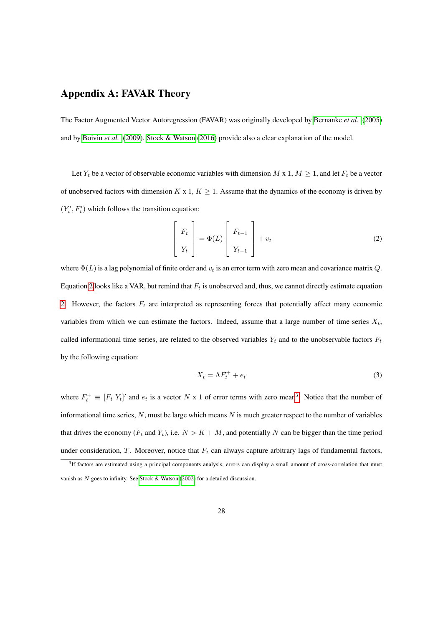# Appendix A: FAVAR Theory

The Factor Augmented Vector Autoregression (FAVAR) was originally developed by [Bernanke](#page-28-2) *et al.* [\(2005\)](#page-28-2) and by [Boivin](#page-28-3) *et al.* [\(2009\)](#page-28-3). [Stock & Watson](#page-29-6) [\(2016\)](#page-29-6) provide also a clear explanation of the model.

Let  $Y_t$  be a vector of observable economic variables with dimension M x 1,  $M \geq 1$ , and let  $F_t$  be a vector of unobserved factors with dimension  $K \times 1, K \geq 1$ . Assume that the dynamics of the economy is driven by  $(Y_t', F_t')$  which follows the transition equation:

<span id="page-30-0"></span>
$$
\begin{bmatrix} F_t \\ Y_t \end{bmatrix} = \Phi(L) \begin{bmatrix} F_{t-1} \\ Y_{t-1} \end{bmatrix} + v_t
$$
 (2)

where  $\Phi(L)$  is a lag polynomial of finite order and  $v_t$  is an error term with zero mean and covariance matrix Q. Equation [2](#page-30-0) looks like a VAR, but remind that  $F_t$  is unobserved and, thus, we cannot directly estimate equation [2.](#page-30-0) However, the factors  $F_t$  are interpreted as representing forces that potentially affect many economic variables from which we can estimate the factors. Indeed, assume that a large number of time series  $X_t$ , called informational time series, are related to the observed variables  $Y_t$  and to the unobservable factors  $F_t$ by the following equation:

<span id="page-30-2"></span>
$$
X_t = \Lambda F_t^+ + e_t \tag{3}
$$

where  $F_t^+ \equiv [F_t Y_t]'$  and  $e_t$  is a vector N x 1 of error terms with zero mean<sup>[3](#page-30-1)</sup>. Notice that the number of informational time series,  $N$ , must be large which means  $N$  is much greater respect to the number of variables that drives the economy ( $F_t$  and  $Y_t$ ), i.e.  $N > K + M$ , and potentially N can be bigger than the time period under consideration,  $T$ . Moreover, notice that  $F_t$  can always capture arbitrary lags of fundamental factors,

<span id="page-30-1"></span><sup>&</sup>lt;sup>3</sup>If factors are estimated using a principal components analysis, errors can display a small amount of cross-correlation that must vanish as  $N$  goes to infinity. See [Stock & Watson](#page-29-7) [\(2002\)](#page-29-7) for a detailed discussion.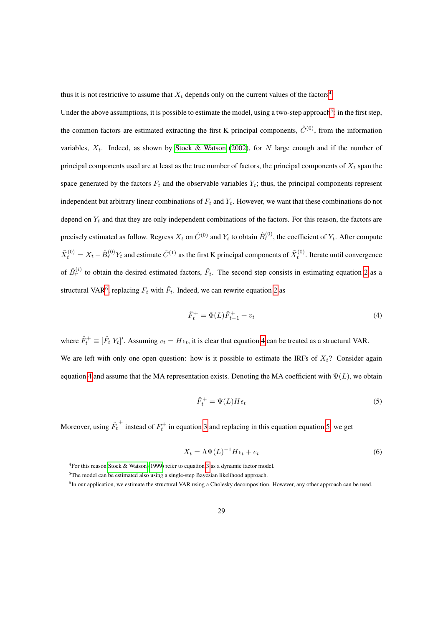thus it is not restrictive to assume that  $X_t$  depends only on the current values of the factors<sup>[4](#page-31-0)</sup>.

Under the above assumptions, it is possible to estimate the model, using a two-step approach<sup>[5](#page-31-1)</sup>: in the first step, the common factors are estimated extracting the first K principal components,  $\hat{C}^{(0)}$ , from the information variables,  $X_t$ . Indeed, as shown by [Stock & Watson](#page-29-7) [\(2002\)](#page-29-7), for N large enough and if the number of principal components used are at least as the true number of factors, the principal components of  $X_t$  span the space generated by the factors  $F_t$  and the observable variables  $Y_t$ ; thus, the principal components represent independent but arbitrary linear combinations of  $F_t$  and  $Y_t$ . However, we want that these combinations do not depend on  $Y_t$  and that they are only independent combinations of the factors. For this reason, the factors are precisely estimated as follow. Regress  $X_t$  on  $\hat{C}^{(0)}$  and  $Y_t$  to obtain  $\hat{B}_r^{(0)}$ , the coefficient of  $Y_t$ . After compute  $\tilde{X}_t^{(0)} = X_t - \hat{B}_r^{(0)} Y_t$  and estimate  $\hat{C}^{(1)}$  as the first K principal components of  $\tilde{X}_t^{(0)}$ . Iterate until convergence of  $\hat{B}_r^{(i)}$  to obtain the desired estimated factors,  $\hat{F}_t$ . The second step consists in estimating equation [2](#page-30-0) as a structural VAR<sup>[6](#page-31-2)</sup>, replacing  $F_t$  with  $\hat{F}_t$ . Indeed, we can rewrite equation [2](#page-30-0) as

<span id="page-31-3"></span>
$$
\hat{F}_t^+ = \Phi(L)\hat{F}_{t-1}^+ + v_t \tag{4}
$$

where  $\hat{F}_t^+ \equiv [\hat{F}_t Y_t]'$ . Assuming  $v_t = H \epsilon_t$ , it is clear that equation [4](#page-31-3) can be treated as a structural VAR. We are left with only one open question: how is it possible to estimate the IRFs of  $X_t$ ? Consider again equation [4](#page-31-3) and assume that the MA representation exists. Denoting the MA coefficient with  $\Psi(L)$ , we obtain

<span id="page-31-4"></span>
$$
\hat{F}_t^+ = \Psi(L)H\epsilon_t \tag{5}
$$

Moreover, using  $\hat{F}_t$ <sup>+</sup> instead of  $F_t^+$  in equation [3](#page-30-2) and replacing in this equation equation [5,](#page-31-4) we get

<span id="page-31-5"></span>
$$
X_t = \Lambda \Psi(L)^{-1} H \epsilon_t + e_t \tag{6}
$$

<span id="page-31-1"></span><span id="page-31-0"></span><sup>4</sup>For this reason [Stock & Watson](#page-29-8) [\(1999\)](#page-29-8) refer to equation [3](#page-30-2) as a dynamic factor model.

<span id="page-31-2"></span><sup>5</sup>The model can be estimated also using a single-step Bayesian likelihood approach.

<sup>&</sup>lt;sup>6</sup>In our application, we estimate the structural VAR using a Cholesky decomposition. However, any other approach can be used.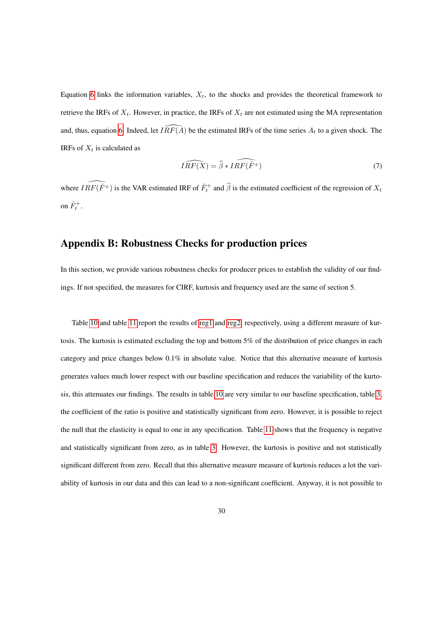Equation [6](#page-31-5) links the information variables,  $X_t$ , to the shocks and provides the theoretical framework to retrieve the IRFs of  $X_t$ . However, in practice, the IRFs of  $X_t$  are not estimated using the MA representation and, thus, equation [6.](#page-31-5) Indeed, let  $\widehat{IRF(A)}$  be the estimated IRFs of the time series  $A_t$  to a given shock. The IRFs of  $X_t$  is calculated as

$$
\widehat{IRF(X)} = \widehat{\beta} * \widehat{IRF(\widehat{F}^+)}\tag{7}
$$

where  $\widehat{IRF(\hat{F}^+)}$  is the VAR estimated IRF of  $\hat{F}^+_t$  and  $\hat{\beta}$  is the estimated coefficient of the regression of  $X_t$ on  $\hat{F}^+_t$ .

### Appendix B: Robustness Checks for production prices

In this section, we provide various robustness checks for producer prices to establish the validity of our findings. If not specified, the measures for CIRF, kurtosis and frequency used are the same of section 5.

Table [10](#page-34-0) and table [11](#page-35-0) report the results of [reg1](#page-9-1) and [reg2,](#page-10-0) respectively, using a different measure of kurtosis. The kurtosis is estimated excluding the top and bottom 5% of the distribution of price changes in each category and price changes below 0.1% in absolute value. Notice that this alternative measure of kurtosis generates values much lower respect with our baseline specification and reduces the variability of the kurtosis, this attenuates our findings. The results in table [10](#page-34-0) are very similar to our baseline specification, table [3,](#page-17-0) the coefficient of the ratio is positive and statistically significant from zero. However, it is possible to reject the null that the elasticity is equal to one in any specification. Table [11](#page-35-0) shows that the frequency is negative and statistically significant from zero, as in table [3.](#page-17-0) However, the kurtosis is positive and not statistically significant different from zero. Recall that this alternative measure measure of kurtosis reduces a lot the variability of kurtosis in our data and this can lead to a non-significant coefficient. Anyway, it is not possible to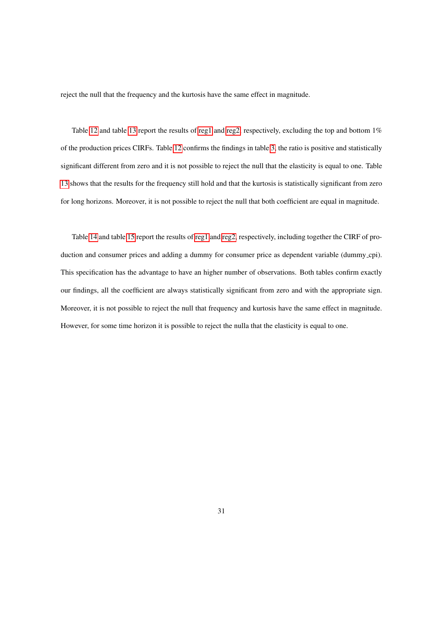reject the null that the frequency and the kurtosis have the same effect in magnitude.

Table [12](#page-36-0) and table [13](#page-37-0) report the results of [reg1](#page-9-1) and [reg2,](#page-10-0) respectively, excluding the top and bottom  $1\%$ of the production prices CIRFs. Table [12](#page-36-0) confirms the findings in table [3,](#page-17-0) the ratio is positive and statistically significant different from zero and it is not possible to reject the null that the elasticity is equal to one. Table [13](#page-37-0) shows that the results for the frequency still hold and that the kurtosis is statistically significant from zero for long horizons. Moreover, it is not possible to reject the null that both coefficient are equal in magnitude.

Table [14](#page-38-0) and table [15](#page-39-0) report the results of [reg1](#page-9-1) and [reg2,](#page-10-0) respectively, including together the CIRF of production and consumer prices and adding a dummy for consumer price as dependent variable (dummy cpi). This specification has the advantage to have an higher number of observations. Both tables confirm exactly our findings, all the coefficient are always statistically significant from zero and with the appropriate sign. Moreover, it is not possible to reject the null that frequency and kurtosis have the same effect in magnitude. However, for some time horizon it is possible to reject the nulla that the elasticity is equal to one.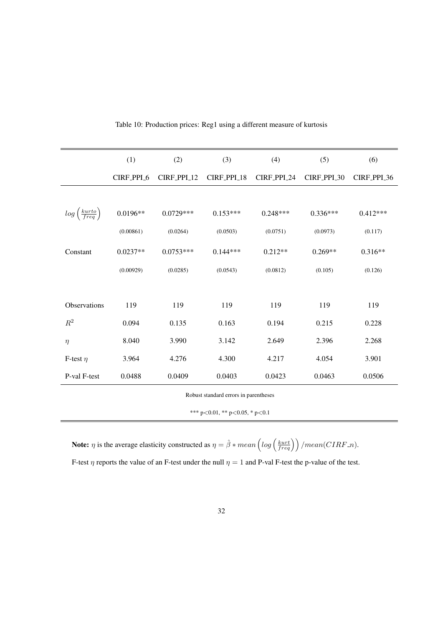<span id="page-34-0"></span>

|                                      | (1)        | (2)         | (3)         | (4)         | (5)         | (6)         |
|--------------------------------------|------------|-------------|-------------|-------------|-------------|-------------|
|                                      | CIRF_PPI_6 | CIRF_PPI_12 | CIRF_PPI_18 | CIRF_PPI_24 | CIRF_PPI_30 | CIRF_PPI_36 |
|                                      |            |             |             |             |             |             |
| $log\left(\frac{kurto}{freq}\right)$ | $0.0196**$ | $0.0729***$ | $0.153***$  | $0.248***$  | $0.336***$  | $0.412***$  |
|                                      | (0.00861)  | (0.0264)    | (0.0503)    | (0.0751)    | (0.0973)    | (0.117)     |
| Constant                             | $0.0237**$ | $0.0753***$ | $0.144***$  | $0.212**$   | $0.269**$   | $0.316**$   |
|                                      | (0.00929)  | (0.0285)    | (0.0543)    | (0.0812)    | (0.105)     | (0.126)     |
|                                      |            |             |             |             |             |             |
| Observations                         | 119        | 119         | 119         | 119         | 119         | 119         |
| $\mathbb{R}^2$                       | 0.094      | 0.135       | 0.163       | 0.194       | 0.215       | 0.228       |
| $\eta$                               | 8.040      | 3.990       | 3.142       | 2.649       | 2.396       | 2.268       |
| F-test $\eta$                        | 3.964      | 4.276       | 4.300       | 4.217       | 4.054       | 3.901       |
| P-val F-test                         | 0.0488     | 0.0409      | 0.0403      | 0.0423      | 0.0463      | 0.0506      |

#### Table 10: Production prices: Reg1 using a different measure of kurtosis

Robust standard errors in parentheses

\*\*\* p<0.01, \*\* p<0.05, \* p<0.1

**Note:**  $\eta$  is the average elasticity constructed as  $\eta = \hat{\beta} * mean \left( log \left( \frac{kurt}{freq} \right) \right) / mean(CIRF.n)$ .

F-test  $\eta$  reports the value of an F-test under the null  $\eta = 1$  and P-val F-test the p-value of the test.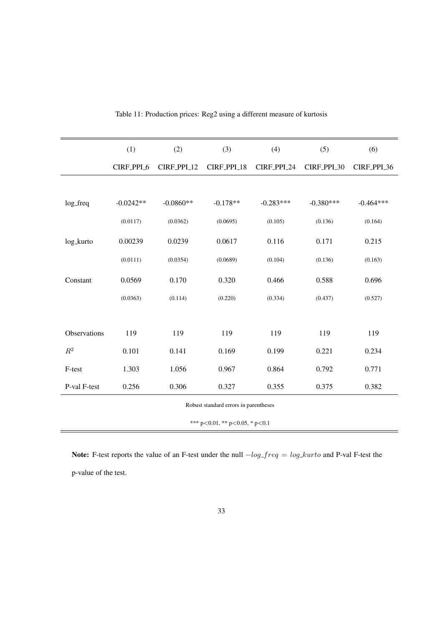<span id="page-35-0"></span>

|                | (1)         | (2)         | (3)         | (4)         | (5)         | (6)         |
|----------------|-------------|-------------|-------------|-------------|-------------|-------------|
|                | CIRF_PPI_6  | CIRF_PPI_12 | CIRF_PPI_18 | CIRF_PPI_24 | CIRF_PPI_30 | CIRF_PPI_36 |
|                |             |             |             |             |             |             |
| log_freq       | $-0.0242**$ | $-0.0860**$ | $-0.178**$  | $-0.283***$ | $-0.380***$ | $-0.464***$ |
|                | (0.0117)    | (0.0362)    | (0.0695)    | (0.105)     | (0.136)     | (0.164)     |
| log_kurto      | 0.00239     | 0.0239      | 0.0617      | 0.116       | 0.171       | 0.215       |
|                | (0.0111)    | (0.0354)    | (0.0689)    | (0.104)     | (0.136)     | (0.163)     |
| Constant       | 0.0569      | 0.170       | 0.320       | 0.466       | 0.588       | 0.696       |
|                | (0.0363)    | (0.114)     | (0.220)     | (0.334)     | (0.437)     | (0.527)     |
|                |             |             |             |             |             |             |
| Observations   | 119         | 119         | 119         | 119         | 119         | 119         |
| $\mathbb{R}^2$ | 0.101       | 0.141       | 0.169       | 0.199       | 0.221       | 0.234       |
| F-test         | 1.303       | 1.056       | 0.967       | 0.864       | 0.792       | 0.771       |
| P-val F-test   | 0.256       | 0.306       | 0.327       | 0.355       | 0.375       | 0.382       |

| Table 11: Production prices: Reg2 using a different measure of kurtosis |  |  |  |  |  |  |
|-------------------------------------------------------------------------|--|--|--|--|--|--|
|-------------------------------------------------------------------------|--|--|--|--|--|--|

\*\*\* p<0.01, \*\* p<0.05, \* p<0.1

Note: F-test reports the value of an F-test under the null  $-log\_freq = log\_kurto$  and P-val F-test the p-value of the test.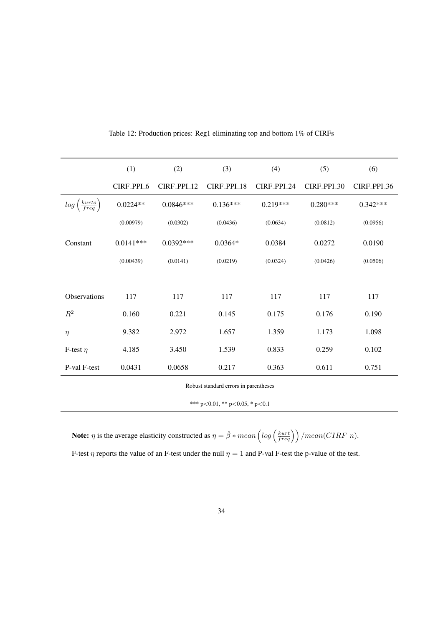<span id="page-36-0"></span>

|                                      | (1)         | (2)         | (3)         | (4)         | (5)         | (6)         |
|--------------------------------------|-------------|-------------|-------------|-------------|-------------|-------------|
|                                      | CIRF_PPL_6  | CIRF_PPI_12 | CIRF_PPI_18 | CIRF_PPI_24 | CIRF_PPI_30 | CIRF_PPI_36 |
| $log\left(\frac{kurto}{freq}\right)$ | $0.0224**$  | $0.0846***$ | $0.136***$  | $0.219***$  | $0.280***$  | $0.342***$  |
|                                      | (0.00979)   | (0.0302)    | (0.0436)    | (0.0634)    | (0.0812)    | (0.0956)    |
| Constant                             | $0.0141***$ | $0.0392***$ | $0.0364*$   | 0.0384      | 0.0272      | 0.0190      |
|                                      | (0.00439)   | (0.0141)    | (0.0219)    | (0.0324)    | (0.0426)    | (0.0506)    |
|                                      |             |             |             |             |             |             |
| Observations                         | 117         | 117         | 117         | 117         | 117         | 117         |
| $R^2$                                | 0.160       | 0.221       | 0.145       | 0.175       | 0.176       | 0.190       |
| $\eta$                               | 9.382       | 2.972       | 1.657       | 1.359       | 1.173       | 1.098       |
| F-test $\eta$                        | 4.185       | 3.450       | 1.539       | 0.833       | 0.259       | 0.102       |
| P-val F-test                         | 0.0431      | 0.0658      | 0.217       | 0.363       | 0.611       | 0.751       |

Table 12: Production prices: Reg1 eliminating top and bottom 1% of CIRFs

\*\*\* p<0.01, \*\* p<0.05, \* p<0.1

**Note:**  $\eta$  is the average elasticity constructed as  $\eta = \hat{\beta} * mean \left( log \left( \frac{kurt}{freq} \right) \right) / mean(CIRF.n)$ . F-test  $\eta$  reports the value of an F-test under the null  $\eta = 1$  and P-val F-test the p-value of the test.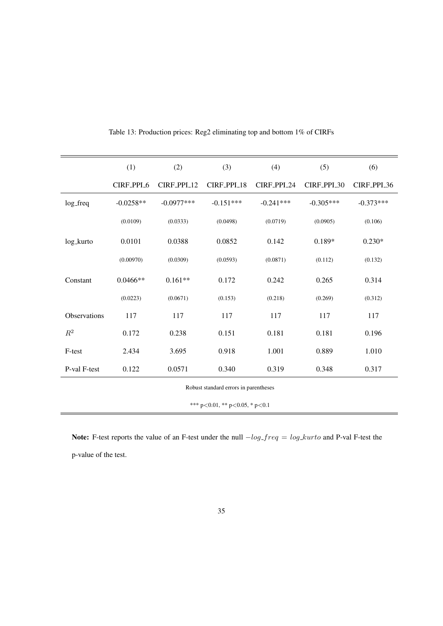<span id="page-37-0"></span>

|                                                                 | (1)         | (2)          | (3)         | (4)         | (5)         | (6)         |  |  |
|-----------------------------------------------------------------|-------------|--------------|-------------|-------------|-------------|-------------|--|--|
|                                                                 | CIRF_PPI_6  | CIRF_PPI_12  | CIRF_PPI_18 | CIRF_PPI_24 | CIRF_PPI_30 | CIRF_PPI_36 |  |  |
| log_freq                                                        | $-0.0258**$ | $-0.0977***$ | $-0.151***$ | $-0.241***$ | $-0.305***$ | $-0.373***$ |  |  |
|                                                                 | (0.0109)    | (0.0333)     | (0.0498)    | (0.0719)    | (0.0905)    | (0.106)     |  |  |
| log_kurto                                                       | 0.0101      | 0.0388       | 0.0852      | 0.142       | $0.189*$    | $0.230*$    |  |  |
|                                                                 | (0.00970)   | (0.0309)     | (0.0593)    | (0.0871)    | (0.112)     | (0.132)     |  |  |
| Constant                                                        | $0.0466**$  | $0.161**$    | 0.172       | 0.242       | 0.265       | 0.314       |  |  |
|                                                                 | (0.0223)    | (0.0671)     | (0.153)     | (0.218)     | (0.269)     | (0.312)     |  |  |
| Observations                                                    | 117         | 117          | 117         | 117         | 117         | 117         |  |  |
| $\mathbb{R}^2$                                                  | 0.172       | 0.238        | 0.151       | 0.181       | 0.181       | 0.196       |  |  |
| F-test                                                          | 2.434       | 3.695        | 0.918       | 1.001       | 0.889       | 1.010       |  |  |
| P-val F-test                                                    | 0.122       | 0.0571       | 0.340       | 0.319       | 0.348       | 0.317       |  |  |
| $\mathbf{r}$ and $\mathbf{r}$ and $\mathbf{r}$ and $\mathbf{r}$ |             |              |             |             |             |             |  |  |

Table 13: Production prices: Reg2 eliminating top and bottom 1% of CIRFs

\*\*\* p<0.01, \*\* p<0.05, \* p<0.1

Note: F-test reports the value of an F-test under the null  $-log\_freq = log\_kurto$  and P-val F-test the p-value of the test.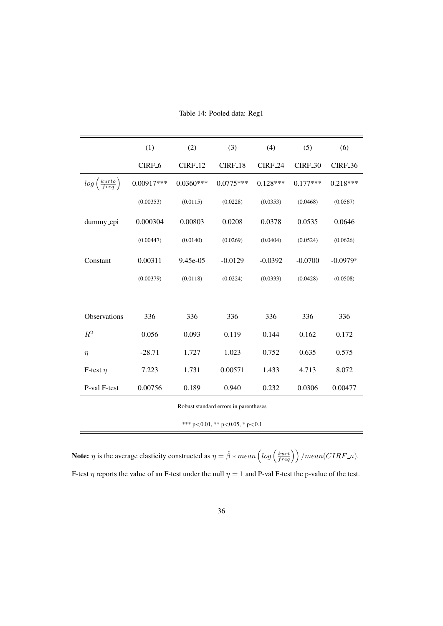<span id="page-38-0"></span>

|                                      | (1)                | (2)            | (3)                 | (4)            | (5)                       | (6)            |
|--------------------------------------|--------------------|----------------|---------------------|----------------|---------------------------|----------------|
|                                      | CIRF <sub>-6</sub> | <b>CIRF_12</b> | CIRF <sub>-18</sub> | <b>CIRF_24</b> | <b>CIRF<sub>-30</sub></b> | <b>CIRF_36</b> |
| $log\left(\frac{kurto}{freq}\right)$ | $0.00917***$       | $0.0360***$    | $0.0775***$         | $0.128***$     | $0.177***$                | $0.218***$     |
|                                      | (0.00353)          | (0.0115)       | (0.0228)            | (0.0353)       | (0.0468)                  | (0.0567)       |
| dummy_cpi                            | 0.000304           | 0.00803        | 0.0208              | 0.0378         | 0.0535                    | 0.0646         |
|                                      | (0.00447)          | (0.0140)       | (0.0269)            | (0.0404)       | (0.0524)                  | (0.0626)       |
| Constant                             | 0.00311            | 9.45e-05       | $-0.0129$           | $-0.0392$      | $-0.0700$                 | $-0.0979*$     |
|                                      | (0.00379)          | (0.0118)       | (0.0224)            | (0.0333)       | (0.0428)                  | (0.0508)       |
|                                      |                    |                |                     |                |                           |                |
| Observations                         | 336                | 336            | 336                 | 336            | 336                       | 336            |
| $\mathbb{R}^2$                       | 0.056              | 0.093          | 0.119               | 0.144          | 0.162                     | 0.172          |
| $\eta$                               | $-28.71$           | 1.727          | 1.023               | 0.752          | 0.635                     | 0.575          |
| F-test $\eta$                        | 7.223              | 1.731          | 0.00571             | 1.433          | 4.713                     | 8.072          |
| P-val F-test                         | 0.00756            | 0.189          | 0.940               | 0.232          | 0.0306                    | 0.00477        |

Table 14: Pooled data: Reg1

\*\*\* p<0.01, \*\* p<0.05, \* p<0.1

**Note:**  $\eta$  is the average elasticity constructed as  $\eta = \hat{\beta} * mean \left( log \left( \frac{kurt}{freq} \right) \right) / mean(CIRF.n)$ . F-test  $\eta$  reports the value of an F-test under the null  $\eta = 1$  and P-val F-test the p-value of the test.